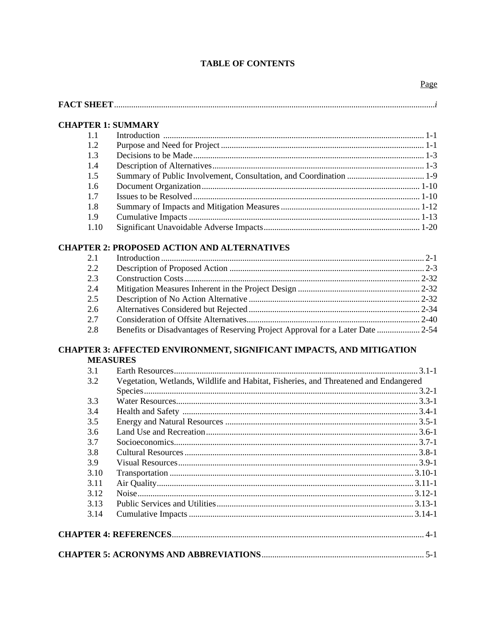#### **TABLE OF CONTENTS**

#### **CHAPTER 1: SUMMARY**

#### **CHAPTER 2: PROPOSED ACTION AND ALTERNATIVES**

| 2.1 |  |
|-----|--|
| 2.2 |  |
| 2.3 |  |
| 2.4 |  |
| 2.5 |  |
| 2.6 |  |
| 2.7 |  |
| 2.8 |  |
|     |  |

#### **CHAPTER 3: AFFECTED ENVIRONMENT, SIGNIFICANT IMPACTS, AND MITIGATION MEASURES**

| 3.1  |                                                                                      |  |
|------|--------------------------------------------------------------------------------------|--|
| 3.2  | Vegetation, Wetlands, Wildlife and Habitat, Fisheries, and Threatened and Endangered |  |
|      |                                                                                      |  |
| 3.3  |                                                                                      |  |
| 3.4  |                                                                                      |  |
| 3.5  |                                                                                      |  |
| 3.6  |                                                                                      |  |
| 3.7  |                                                                                      |  |
| 3.8  |                                                                                      |  |
| 3.9  |                                                                                      |  |
| 3.10 |                                                                                      |  |
| 3.11 |                                                                                      |  |
| 3.12 |                                                                                      |  |
| 3.13 |                                                                                      |  |
| 3.14 |                                                                                      |  |
|      |                                                                                      |  |
|      |                                                                                      |  |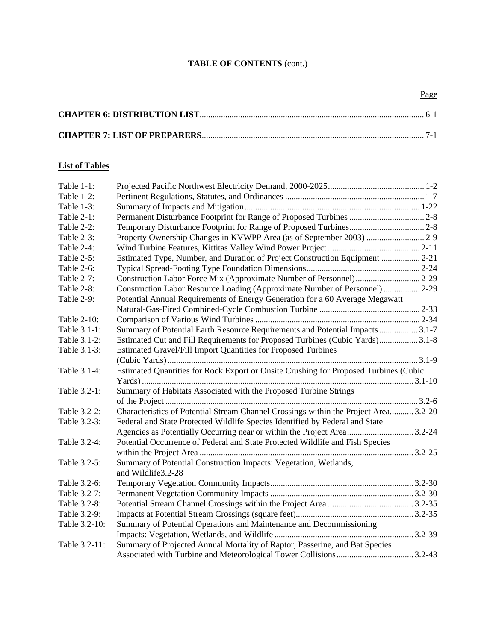# **List of Tables**

| Table $1-1$ : |                                                                                      |  |
|---------------|--------------------------------------------------------------------------------------|--|
| Table 1-2:    |                                                                                      |  |
| Table 1-3:    |                                                                                      |  |
| Table 2-1:    |                                                                                      |  |
| Table 2-2:    |                                                                                      |  |
| Table 2-3:    |                                                                                      |  |
| Table 2-4:    |                                                                                      |  |
| Table 2-5:    | Estimated Type, Number, and Duration of Project Construction Equipment  2-21         |  |
| Table 2-6:    |                                                                                      |  |
| Table 2-7:    |                                                                                      |  |
| Table 2-8:    | Construction Labor Resource Loading (Approximate Number of Personnel)  2-29          |  |
| Table 2-9:    | Potential Annual Requirements of Energy Generation for a 60 Average Megawatt         |  |
|               |                                                                                      |  |
| Table 2-10:   |                                                                                      |  |
| Table 3.1-1:  | Summary of Potential Earth Resource Requirements and Potential Impacts 3.1-7         |  |
| Table 3.1-2:  | Estimated Cut and Fill Requirements for Proposed Turbines (Cubic Yards) 3.1-8        |  |
| Table 3.1-3:  | Estimated Gravel/Fill Import Quantities for Proposed Turbines                        |  |
|               |                                                                                      |  |
| Table 3.1-4:  | Estimated Quantities for Rock Export or Onsite Crushing for Proposed Turbines (Cubic |  |
|               |                                                                                      |  |
| Table 3.2-1:  | Summary of Habitats Associated with the Proposed Turbine Strings                     |  |
|               |                                                                                      |  |
| Table 3.2-2:  | Characteristics of Potential Stream Channel Crossings within the Project Area 3.2-20 |  |
| Table 3.2-3:  | Federal and State Protected Wildlife Species Identified by Federal and State         |  |
|               | Agencies as Potentially Occurring near or within the Project Area3.2-24              |  |
| Table 3.2-4:  | Potential Occurrence of Federal and State Protected Wildlife and Fish Species        |  |
|               |                                                                                      |  |
| Table 3.2-5:  | Summary of Potential Construction Impacts: Vegetation, Wetlands,                     |  |
|               | and Wildlife3.2-28                                                                   |  |
| Table 3.2-6:  |                                                                                      |  |
| Table 3.2-7:  |                                                                                      |  |
| Table 3.2-8:  |                                                                                      |  |
| Table 3.2-9:  |                                                                                      |  |
| Table 3.2-10: | Summary of Potential Operations and Maintenance and Decommissioning                  |  |
|               |                                                                                      |  |
| Table 3.2-11: | Summary of Projected Annual Mortality of Raptor, Passerine, and Bat Species          |  |
|               |                                                                                      |  |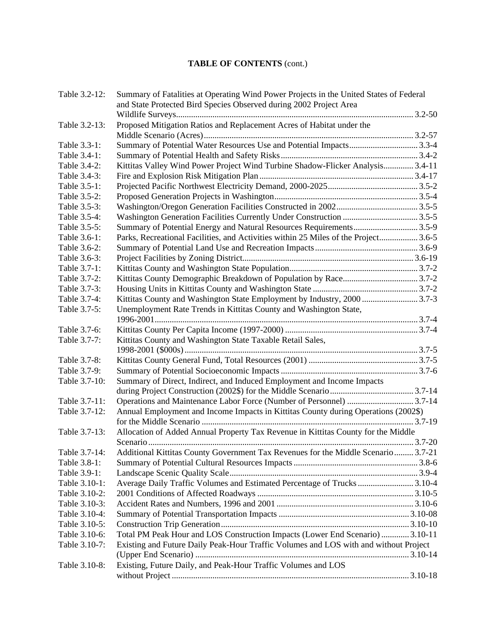| Table 3.2-12: | Summary of Fatalities at Operating Wind Power Projects in the United States of Federal<br>and State Protected Bird Species Observed during 2002 Project Area |  |
|---------------|--------------------------------------------------------------------------------------------------------------------------------------------------------------|--|
|               |                                                                                                                                                              |  |
| Table 3.2-13: | Proposed Mitigation Ratios and Replacement Acres of Habitat under the                                                                                        |  |
|               |                                                                                                                                                              |  |
| Table 3.3-1:  | Summary of Potential Water Resources Use and Potential Impacts3.3-4                                                                                          |  |
| Table 3.4-1:  |                                                                                                                                                              |  |
| Table 3.4-2:  | Kittitas Valley Wind Power Project Wind Turbine Shadow-Flicker Analysis 3.4-11                                                                               |  |
| Table 3.4-3:  |                                                                                                                                                              |  |
| Table 3.5-1:  |                                                                                                                                                              |  |
| Table 3.5-2:  |                                                                                                                                                              |  |
| Table 3.5-3:  |                                                                                                                                                              |  |
| Table 3.5-4:  |                                                                                                                                                              |  |
| Table 3.5-5:  | Summary of Potential Energy and Natural Resources Requirements3.5-9                                                                                          |  |
| Table 3.6-1:  | Parks, Recreational Facilities, and Activities within 25 Miles of the Project 3.6-5                                                                          |  |
| Table 3.6-2:  |                                                                                                                                                              |  |
| Table 3.6-3:  |                                                                                                                                                              |  |
| Table 3.7-1:  |                                                                                                                                                              |  |
| Table 3.7-2:  |                                                                                                                                                              |  |
| Table 3.7-3:  |                                                                                                                                                              |  |
| Table 3.7-4:  | Kittitas County and Washington State Employment by Industry, 2000 3.7-3                                                                                      |  |
| Table 3.7-5:  | Unemployment Rate Trends in Kittitas County and Washington State,                                                                                            |  |
|               |                                                                                                                                                              |  |
| Table 3.7-6:  |                                                                                                                                                              |  |
| Table 3.7-7:  | Kittitas County and Washington State Taxable Retail Sales,                                                                                                   |  |
|               |                                                                                                                                                              |  |
| Table 3.7-8:  |                                                                                                                                                              |  |
| Table 3.7-9:  |                                                                                                                                                              |  |
| Table 3.7-10: | Summary of Direct, Indirect, and Induced Employment and Income Impacts                                                                                       |  |
|               |                                                                                                                                                              |  |
| Table 3.7-11: | Operations and Maintenance Labor Force (Number of Personnel)  3.7-14                                                                                         |  |
| Table 3.7-12: | Annual Employment and Income Impacts in Kittitas County during Operations (2002\$)                                                                           |  |
| Table 3.7-13: | Allocation of Added Annual Property Tax Revenue in Kittitas County for the Middle                                                                            |  |
|               |                                                                                                                                                              |  |
| Table 3.7-14: | Additional Kittitas County Government Tax Revenues for the Middle Scenario 3.7-21                                                                            |  |
| Table 3.8-1:  |                                                                                                                                                              |  |
| Table 3.9-1:  |                                                                                                                                                              |  |
| Table 3.10-1: | Average Daily Traffic Volumes and Estimated Percentage of Trucks  3.10-4                                                                                     |  |
| Table 3.10-2: |                                                                                                                                                              |  |
| Table 3.10-3: |                                                                                                                                                              |  |
| Table 3.10-4: |                                                                                                                                                              |  |
| Table 3.10-5: |                                                                                                                                                              |  |
| Table 3.10-6: | Total PM Peak Hour and LOS Construction Impacts (Lower End Scenario)  3.10-11                                                                                |  |
| Table 3.10-7: | Existing and Future Daily Peak-Hour Traffic Volumes and LOS with and without Project                                                                         |  |
|               |                                                                                                                                                              |  |
| Table 3.10-8: | Existing, Future Daily, and Peak-Hour Traffic Volumes and LOS                                                                                                |  |
|               |                                                                                                                                                              |  |
|               |                                                                                                                                                              |  |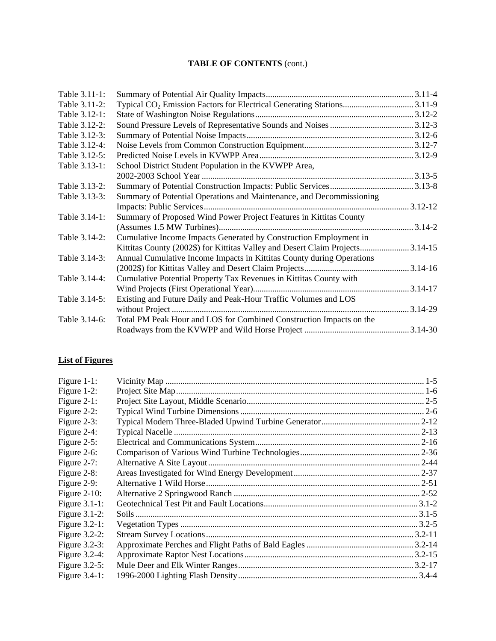| Table 3.11-1: |                                                                                    |  |
|---------------|------------------------------------------------------------------------------------|--|
| Table 3.11-2: | Typical CO <sub>2</sub> Emission Factors for Electrical Generating Stations 3.11-9 |  |
| Table 3.12-1: |                                                                                    |  |
| Table 3.12-2: |                                                                                    |  |
| Table 3.12-3: |                                                                                    |  |
| Table 3.12-4: |                                                                                    |  |
| Table 3.12-5: |                                                                                    |  |
| Table 3.13-1: | School District Student Population in the KVWPP Area,                              |  |
|               |                                                                                    |  |
| Table 3.13-2: |                                                                                    |  |
| Table 3.13-3: | Summary of Potential Operations and Maintenance, and Decommissioning               |  |
|               |                                                                                    |  |
| Table 3.14-1: | Summary of Proposed Wind Power Project Features in Kittitas County                 |  |
|               |                                                                                    |  |
| Table 3.14-2: | Cumulative Income Impacts Generated by Construction Employment in                  |  |
|               | Kittitas County (2002\$) for Kittitas Valley and Desert Claim Projects3.14-15      |  |
| Table 3.14-3: | Annual Cumulative Income Impacts in Kittitas County during Operations              |  |
|               |                                                                                    |  |
| Table 3.14-4: | Cumulative Potential Property Tax Revenues in Kittitas County with                 |  |
|               |                                                                                    |  |
| Table 3.14-5: | Existing and Future Daily and Peak-Hour Traffic Volumes and LOS                    |  |
|               |                                                                                    |  |
| Table 3.14-6: | Total PM Peak Hour and LOS for Combined Construction Impacts on the                |  |
|               |                                                                                    |  |
|               |                                                                                    |  |

# **List of Figures**

| Figure $1-1$ :   |             |
|------------------|-------------|
| Figure $1-2$ :   |             |
| Figure $2-1$ :   |             |
| Figure $2-2$ :   |             |
| Figure $2-3$ :   |             |
| Figure $2-4$ :   |             |
| Figure $2-5$ :   |             |
| Figure $2-6$ :   |             |
| Figure $2-7$ :   |             |
| Figure 2-8:      |             |
| Figure 2-9:      |             |
| Figure $2-10$ :  |             |
| Figure $3.1-1$ : |             |
| Figure $3.1-2$ : |             |
| Figure $3.2-1$ : |             |
| Figure $3.2-2$ : | $.3.2 - 11$ |
| Figure $3.2-3$ : |             |
| Figure $3.2-4$ : |             |
| Figure $3.2-5$ : |             |
| Figure $3.4-1$ : |             |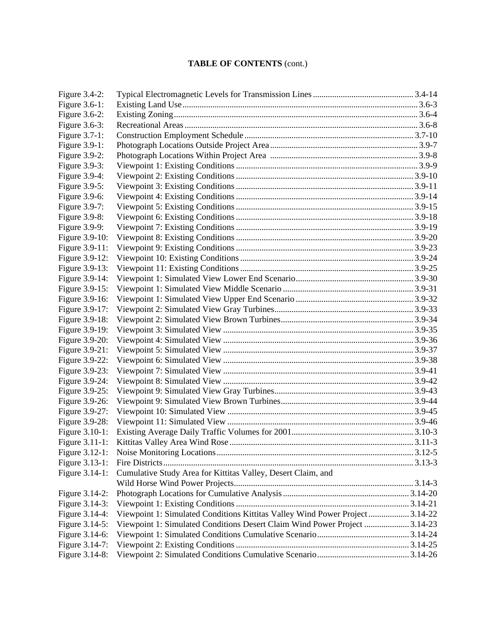| Figure 3.6-1:<br>Figure $3.6-2$ :<br>Figure 3.6-3:<br>Figure 3.7-1:<br>Figure 3.9-1:<br>Figure $3.9-2$ :<br>Figure 3.9-3:<br>Figure 3.9-4:<br>Figure 3.9-5:<br>Figure 3.9-6:<br>Figure 3.9-7:<br>Figure 3.9-8:<br>Figure 3.9-9:<br>Figure 3.9-10:<br>Figure 3.9-11:<br>Figure 3.9-12:<br>Figure 3.9-13:<br>Figure 3.9-14:<br>Figure 3.9-15:<br>Figure 3.9-16:<br>Figure 3.9-17:<br>Figure 3.9-18:<br>Figure 3.9-19:<br>Figure 3.9-20:<br>Figure 3.9-21:<br>Figure 3.9-22:<br>Figure 3.9-23:<br>Figure 3.9-24:<br>Figure 3.9-25:<br>Figure 3.9-26:<br>Figure 3.9-27:<br>Figure 3.9-28:<br>Figure 3.10-1:<br>Figure 3.11-1:<br>Figure 3.13-1:<br>Cumulative Study Area for Kittitas Valley, Desert Claim, and<br>Figure 3.14-1:<br>Figure 3.14-2:<br>Figure 3.14-3:<br>Viewpoint 1: Simulated Conditions Kittitas Valley Wind Power Project  3.14-22<br>Figure 3.14-4:<br>Viewpoint 1: Simulated Conditions Desert Claim Wind Power Project  3.14-23<br>Figure 3.14-5:<br>Figure 3.14-6:<br>Figure 3.14-7:<br>Figure 3.14-8: | Figure $3.4-2$ : |  |
|----------------------------------------------------------------------------------------------------------------------------------------------------------------------------------------------------------------------------------------------------------------------------------------------------------------------------------------------------------------------------------------------------------------------------------------------------------------------------------------------------------------------------------------------------------------------------------------------------------------------------------------------------------------------------------------------------------------------------------------------------------------------------------------------------------------------------------------------------------------------------------------------------------------------------------------------------------------------------------------------------------------------------|------------------|--|
|                                                                                                                                                                                                                                                                                                                                                                                                                                                                                                                                                                                                                                                                                                                                                                                                                                                                                                                                                                                                                            |                  |  |
|                                                                                                                                                                                                                                                                                                                                                                                                                                                                                                                                                                                                                                                                                                                                                                                                                                                                                                                                                                                                                            |                  |  |
|                                                                                                                                                                                                                                                                                                                                                                                                                                                                                                                                                                                                                                                                                                                                                                                                                                                                                                                                                                                                                            |                  |  |
|                                                                                                                                                                                                                                                                                                                                                                                                                                                                                                                                                                                                                                                                                                                                                                                                                                                                                                                                                                                                                            |                  |  |
|                                                                                                                                                                                                                                                                                                                                                                                                                                                                                                                                                                                                                                                                                                                                                                                                                                                                                                                                                                                                                            |                  |  |
|                                                                                                                                                                                                                                                                                                                                                                                                                                                                                                                                                                                                                                                                                                                                                                                                                                                                                                                                                                                                                            |                  |  |
|                                                                                                                                                                                                                                                                                                                                                                                                                                                                                                                                                                                                                                                                                                                                                                                                                                                                                                                                                                                                                            |                  |  |
|                                                                                                                                                                                                                                                                                                                                                                                                                                                                                                                                                                                                                                                                                                                                                                                                                                                                                                                                                                                                                            |                  |  |
|                                                                                                                                                                                                                                                                                                                                                                                                                                                                                                                                                                                                                                                                                                                                                                                                                                                                                                                                                                                                                            |                  |  |
|                                                                                                                                                                                                                                                                                                                                                                                                                                                                                                                                                                                                                                                                                                                                                                                                                                                                                                                                                                                                                            |                  |  |
|                                                                                                                                                                                                                                                                                                                                                                                                                                                                                                                                                                                                                                                                                                                                                                                                                                                                                                                                                                                                                            |                  |  |
|                                                                                                                                                                                                                                                                                                                                                                                                                                                                                                                                                                                                                                                                                                                                                                                                                                                                                                                                                                                                                            |                  |  |
|                                                                                                                                                                                                                                                                                                                                                                                                                                                                                                                                                                                                                                                                                                                                                                                                                                                                                                                                                                                                                            |                  |  |
|                                                                                                                                                                                                                                                                                                                                                                                                                                                                                                                                                                                                                                                                                                                                                                                                                                                                                                                                                                                                                            |                  |  |
|                                                                                                                                                                                                                                                                                                                                                                                                                                                                                                                                                                                                                                                                                                                                                                                                                                                                                                                                                                                                                            |                  |  |
|                                                                                                                                                                                                                                                                                                                                                                                                                                                                                                                                                                                                                                                                                                                                                                                                                                                                                                                                                                                                                            |                  |  |
|                                                                                                                                                                                                                                                                                                                                                                                                                                                                                                                                                                                                                                                                                                                                                                                                                                                                                                                                                                                                                            |                  |  |
|                                                                                                                                                                                                                                                                                                                                                                                                                                                                                                                                                                                                                                                                                                                                                                                                                                                                                                                                                                                                                            |                  |  |
|                                                                                                                                                                                                                                                                                                                                                                                                                                                                                                                                                                                                                                                                                                                                                                                                                                                                                                                                                                                                                            |                  |  |
|                                                                                                                                                                                                                                                                                                                                                                                                                                                                                                                                                                                                                                                                                                                                                                                                                                                                                                                                                                                                                            |                  |  |
|                                                                                                                                                                                                                                                                                                                                                                                                                                                                                                                                                                                                                                                                                                                                                                                                                                                                                                                                                                                                                            |                  |  |
|                                                                                                                                                                                                                                                                                                                                                                                                                                                                                                                                                                                                                                                                                                                                                                                                                                                                                                                                                                                                                            |                  |  |
|                                                                                                                                                                                                                                                                                                                                                                                                                                                                                                                                                                                                                                                                                                                                                                                                                                                                                                                                                                                                                            |                  |  |
|                                                                                                                                                                                                                                                                                                                                                                                                                                                                                                                                                                                                                                                                                                                                                                                                                                                                                                                                                                                                                            |                  |  |
|                                                                                                                                                                                                                                                                                                                                                                                                                                                                                                                                                                                                                                                                                                                                                                                                                                                                                                                                                                                                                            |                  |  |
|                                                                                                                                                                                                                                                                                                                                                                                                                                                                                                                                                                                                                                                                                                                                                                                                                                                                                                                                                                                                                            |                  |  |
|                                                                                                                                                                                                                                                                                                                                                                                                                                                                                                                                                                                                                                                                                                                                                                                                                                                                                                                                                                                                                            |                  |  |
|                                                                                                                                                                                                                                                                                                                                                                                                                                                                                                                                                                                                                                                                                                                                                                                                                                                                                                                                                                                                                            |                  |  |
|                                                                                                                                                                                                                                                                                                                                                                                                                                                                                                                                                                                                                                                                                                                                                                                                                                                                                                                                                                                                                            |                  |  |
|                                                                                                                                                                                                                                                                                                                                                                                                                                                                                                                                                                                                                                                                                                                                                                                                                                                                                                                                                                                                                            |                  |  |
|                                                                                                                                                                                                                                                                                                                                                                                                                                                                                                                                                                                                                                                                                                                                                                                                                                                                                                                                                                                                                            |                  |  |
|                                                                                                                                                                                                                                                                                                                                                                                                                                                                                                                                                                                                                                                                                                                                                                                                                                                                                                                                                                                                                            |                  |  |
|                                                                                                                                                                                                                                                                                                                                                                                                                                                                                                                                                                                                                                                                                                                                                                                                                                                                                                                                                                                                                            |                  |  |
|                                                                                                                                                                                                                                                                                                                                                                                                                                                                                                                                                                                                                                                                                                                                                                                                                                                                                                                                                                                                                            |                  |  |
|                                                                                                                                                                                                                                                                                                                                                                                                                                                                                                                                                                                                                                                                                                                                                                                                                                                                                                                                                                                                                            | Figure 3.12-1:   |  |
|                                                                                                                                                                                                                                                                                                                                                                                                                                                                                                                                                                                                                                                                                                                                                                                                                                                                                                                                                                                                                            |                  |  |
|                                                                                                                                                                                                                                                                                                                                                                                                                                                                                                                                                                                                                                                                                                                                                                                                                                                                                                                                                                                                                            |                  |  |
|                                                                                                                                                                                                                                                                                                                                                                                                                                                                                                                                                                                                                                                                                                                                                                                                                                                                                                                                                                                                                            |                  |  |
|                                                                                                                                                                                                                                                                                                                                                                                                                                                                                                                                                                                                                                                                                                                                                                                                                                                                                                                                                                                                                            |                  |  |
|                                                                                                                                                                                                                                                                                                                                                                                                                                                                                                                                                                                                                                                                                                                                                                                                                                                                                                                                                                                                                            |                  |  |
|                                                                                                                                                                                                                                                                                                                                                                                                                                                                                                                                                                                                                                                                                                                                                                                                                                                                                                                                                                                                                            |                  |  |
|                                                                                                                                                                                                                                                                                                                                                                                                                                                                                                                                                                                                                                                                                                                                                                                                                                                                                                                                                                                                                            |                  |  |
|                                                                                                                                                                                                                                                                                                                                                                                                                                                                                                                                                                                                                                                                                                                                                                                                                                                                                                                                                                                                                            |                  |  |
|                                                                                                                                                                                                                                                                                                                                                                                                                                                                                                                                                                                                                                                                                                                                                                                                                                                                                                                                                                                                                            |                  |  |
|                                                                                                                                                                                                                                                                                                                                                                                                                                                                                                                                                                                                                                                                                                                                                                                                                                                                                                                                                                                                                            |                  |  |